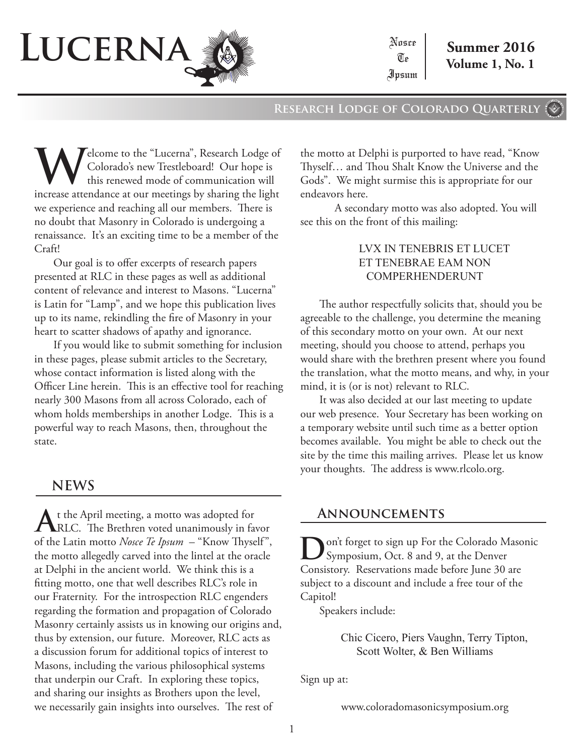

Nosce  $\mathbb{U}_\mathbb{P}$ Ipsum

**Research Lodge of Colorado Quarterly**

**W**elcome to the "Lucerna", Research Lodge of<br>Colorado's new Trestleboard! Our hope is<br>this renewed mode of communication will Colorado's new Trestleboard! Our hope is this renewed mode of communication will increase attendance at our meetings by sharing the light we experience and reaching all our members. There is no doubt that Masonry in Colorado is undergoing a renaissance. It's an exciting time to be a member of the Craft!

Our goal is to offer excerpts of research papers presented at RLC in these pages as well as additional content of relevance and interest to Masons. "Lucerna" is Latin for "Lamp", and we hope this publication lives up to its name, rekindling the fire of Masonry in your heart to scatter shadows of apathy and ignorance.

If you would like to submit something for inclusion in these pages, please submit articles to the Secretary, whose contact information is listed along with the Officer Line herein. This is an effective tool for reaching nearly 300 Masons from all across Colorado, each of whom holds memberships in another Lodge. This is a powerful way to reach Masons, then, throughout the state.

## **NEWS**

At the April meeting, a motto was adopted for<br>RLC. The Brethren voted unanimously in favor of the Latin motto *Nosce Te Ipsum* – "Know Thyself", the motto allegedly carved into the lintel at the oracle at Delphi in the ancient world. We think this is a fitting motto, one that well describes RLC's role in our Fraternity. For the introspection RLC engenders regarding the formation and propagation of Colorado Masonry certainly assists us in knowing our origins and, thus by extension, our future. Moreover, RLC acts as a discussion forum for additional topics of interest to Masons, including the various philosophical systems that underpin our Craft. In exploring these topics, and sharing our insights as Brothers upon the level, we necessarily gain insights into ourselves. The rest of

the motto at Delphi is purported to have read, "Know Thyself… and Thou Shalt Know the Universe and the Gods". We might surmise this is appropriate for our endeavors here.

A secondary motto was also adopted. You will see this on the front of this mailing:

#### LVX IN TENEBRIS ET LUCET ET TENEBRAE EAM NON COMPERHENDERUNT

The author respectfully solicits that, should you be agreeable to the challenge, you determine the meaning of this secondary motto on your own. At our next meeting, should you choose to attend, perhaps you would share with the brethren present where you found the translation, what the motto means, and why, in your mind, it is (or is not) relevant to RLC.

It was also decided at our last meeting to update our web presence. Your Secretary has been working on a temporary website until such time as a better option becomes available. You might be able to check out the site by the time this mailing arrives. Please let us know your thoughts. The address is www.rlcolo.org.

#### **Announcements**

on't forget to sign up For the Colorado Masonic Symposium, Oct. 8 and 9, at the Denver Consistory. Reservations made before June 30 are subject to a discount and include a free tour of the Capitol!

Speakers include:

Chic Cicero, Piers Vaughn, Terry Tipton, Scott Wolter, & Ben Williams

Sign up at:

www.coloradomasonicsymposium.org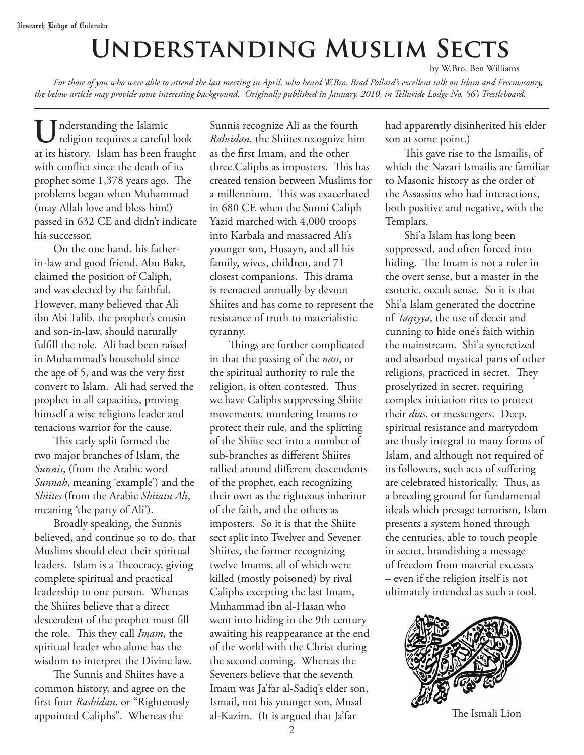# **Understanding Muslim Sects** by W.Bro. Ben Williams

*For those of you who were able to attend the last meeting in April, who heard W.Bro. Brad Pollard's excellent talk on Islam and Freemasonry, the below article may provide some interesting background. Originally published in January, 2010, in Telluride Lodge No. 56's Trestleboard.*

**U**nderstanding the Islamic religion requires a careful look at its history. Islam has been fraught with conflict since the death of its prophet some 1,378 years ago. The problems began when Muhammad (may Allah love and bless him!) passed in 632 CE and didn't indicate his successor.

On the one hand, his fatherin-law and good friend, Abu Bakr, claimed the position of Caliph, and was elected by the faithful. However, many believed that Ali ibn Abi Talib, the prophet's cousin and son-in-law, should naturally fulfill the role. Ali had been raised in Muhammad's household since the age of 5, and was the very first convert to Islam. Ali had served the prophet in all capacities, proving himself a wise religions leader and tenacious warrior for the cause.

This early split formed the two major branches of Islam, the *Sunnis*, (from the Arabic word *Sunnah*, meaning 'example') and the *Shiites* (from the Arabic *Shiiatu Ali*, meaning 'the party of Ali').

Broadly speaking, the Sunnis believed, and continue so to do, that Muslims should elect their spiritual leaders. Islam is a Theocracy, giving complete spiritual and practical leadership to one person. Whereas the Shiites believe that a direct descendent of the prophet must fill the role. This they call *Imam*, the spiritual leader who alone has the wisdom to interpret the Divine law.

The Sunnis and Shiites have a common history, and agree on the first four *Rashidan*, or "Righteously appointed Caliphs". Whereas the

Sunnis recognize Ali as the fourth *Rahsidan*, the Shiites recognize him as the first Imam, and the other three Caliphs as imposters. This has created tension between Muslims for a millennium. This was exacerbated in 680 CE when the Sunni Caliph Yazid marched with 4,000 troops into Karbala and massacred Ali's younger son, Husayn, and all his family, wives, children, and 71 closest companions. This drama is reenacted annually by devout Shiites and has come to represent the resistance of truth to materialistic tyranny.

Things are further complicated in that the passing of the *nass*, or the spiritual authority to rule the religion, is often contested. Thus we have Caliphs suppressing Shiite movements, murdering Imams to protect their rule, and the splitting of the Shiite sect into a number of sub-branches as different Shiites rallied around different descendents of the prophet, each recognizing their own as the righteous inheritor of the faith, and the others as imposters. So it is that the Shiite sect split into Twelver and Sevener Shiites, the former recognizing twelve Imams, all of which were killed (mostly poisoned) by rival Caliphs excepting the last Imam, Muhammad ibn al-Hasan who went into hiding in the 9th century awaiting his reappearance at the end of the world with the Christ during the second coming. Whereas the Seveners believe that the seventh Imam was Ja'far al-Sadiq's elder son, Ismail, not his younger son, Musal al-Kazim. (It is argued that Ja'far

had apparently disinherited his elder son at some point.)

This gave rise to the Ismailis, of which the Nazari Ismailis are familiar to Masonic history as the order of the Assassins who had interactions, both positive and negative, with the Templars.

Shi'a Islam has long been suppressed, and often forced into hiding. The Imam is not a ruler in the overt sense, but a master in the esoteric, occult sense. So it is that Shi'a Islam generated the doctrine of *Taqiyya*, the use of deceit and cunning to hide one's faith within the mainstream. Shi'a syncretized and absorbed mystical parts of other religions, practiced in secret. They proselytized in secret, requiring complex initiation rites to protect their *dias*, or messengers. Deep, spiritual resistance and martyrdom are thusly integral to many forms of Islam, and although not required of its followers, such acts of suffering are celebrated historically. Thus, as a breeding ground for fundamental ideals which presage terrorism, Islam presents a system honed through the centuries, able to touch people in secret, brandishing a message of freedom from material excesses – even if the religion itself is not ultimately intended as such a tool.



The Ismali Lion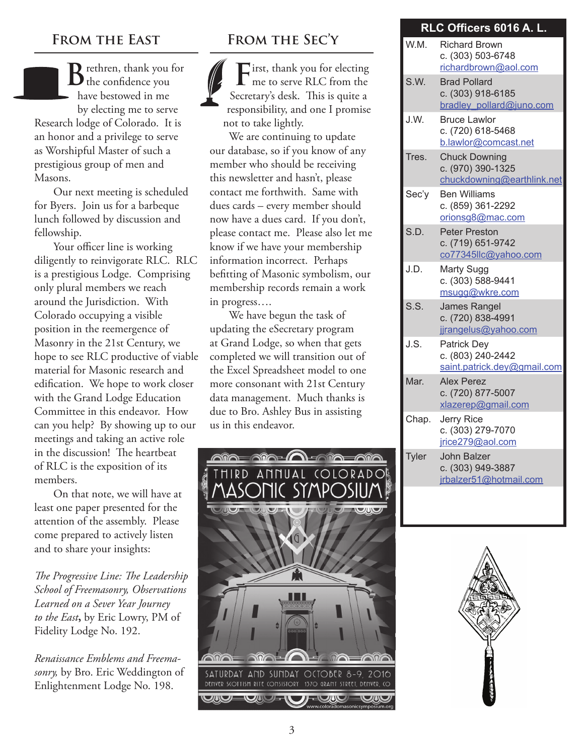#### **From the East**

**D** rethren, thank you for  $\mathbf D$  the confidence you have bestowed in me by electing me to serve Research lodge of Colorado. It is an honor and a privilege to serve as Worshipful Master of such a prestigious group of men and Masons.

Our next meeting is scheduled for Byers. Join us for a barbeque lunch followed by discussion and fellowship.

Your officer line is working diligently to reinvigorate RLC. RLC is a prestigious Lodge. Comprising only plural members we reach around the Jurisdiction. With Colorado occupying a visible position in the reemergence of Masonry in the 21st Century, we hope to see RLC productive of viable material for Masonic research and edification. We hope to work closer with the Grand Lodge Education Committee in this endeavor. How can you help? By showing up to our meetings and taking an active role in the discussion! The heartbeat of RLC is the exposition of its members.

On that note, we will have at least one paper presented for the attention of the assembly. Please come prepared to actively listen and to share your insights:

*The Progressive Line: The Leadership School of Freemasonry, Observations Learned on a Sever Year Journey to the East***,** by Eric Lowry, PM of Fidelity Lodge No. 192.

*Renaissance Emblems and Freemasonry,* by Bro. Eric Weddington of Enlightenment Lodge No. 198.

## **From the Sec'y**

**F**irst, thank you for electing me to serve RLC from the Secretary's desk. This is quite a responsibility, and one I promise not to take lightly.

We are continuing to update our database, so if you know of any member who should be receiving this newsletter and hasn't, please contact me forthwith. Same with dues cards – every member should now have a dues card. If you don't, please contact me. Please also let me know if we have your membership information incorrect. Perhaps befitting of Masonic symbolism, our membership records remain a work in progress….

We have begun the task of updating the eSecretary program at Grand Lodge, so when that gets completed we will transition out of the Excel Spreadsheet model to one more consonant with 21st Century data management. Much thanks is due to Bro. Ashley Bus in assisting us in this endeavor.



# RLC Officers 6016 A. L.

| W.M.  | <b>Richard Brown</b><br>c. (303) 503-6748<br>richardbrown@aol.com       |
|-------|-------------------------------------------------------------------------|
| S.W.  | <b>Brad Pollard</b><br>c. (303) 918-6185<br>bradley pollard@juno.com    |
| J.W.  | <b>Bruce Lawlor</b><br>c. (720) 618-5468<br>b.lawlor@comcast.net        |
| Tres. | <b>Chuck Downing</b><br>c. (970) 390-1325<br>chuckdowning@earthlink.net |
| Sec'y | <b>Ben Williams</b><br>c. (859) 361-2292<br>orionsg8@mac.com            |
| S.D.  | <b>Peter Preston</b><br>c. (719) 651-9742<br>co77345llc@yahoo.com       |
| J.D.  | <b>Marty Sugg</b><br>c. (303) 588-9441<br>msugg@wkre.com                |
| S.S.  | James Rangel<br>c. (720) 838-4991<br>jirangelus@yahoo.com               |
| J.S.  | <b>Patrick Dey</b><br>c. (803) 240-2442<br>saint.patrick.dey@gmail.com  |
| Mar.  | <b>Alex Perez</b><br>c. (720) 877-5007<br>xlazerep@gmail.com            |
| Chap. | <b>Jerry Rice</b><br>c. (303) 279-7070<br>jrice279@aol.com              |
| Tyler | John Balzer<br>c. (303) 949-3887<br>jrbalzer51@hotmail.com              |
|       |                                                                         |